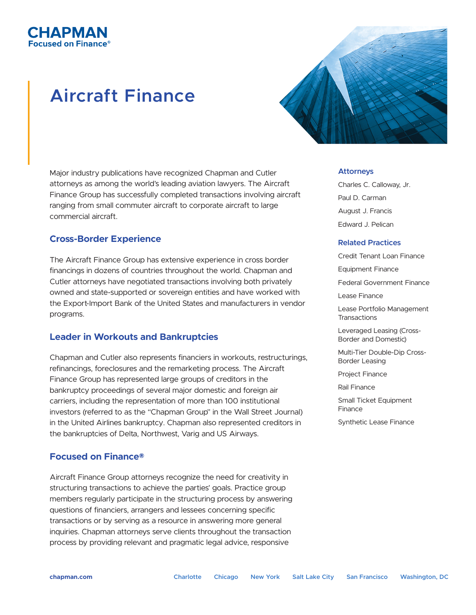## CHAPMAN ised on Finance®

# **Aircraft Finance**

Major industry publications have recognized Chapman and Cutler attorneys as among the world's leading aviation lawyers. The Aircraft Finance Group has successfully completed transactions involving aircraft ranging from small commuter aircraft to corporate aircraft to large commercial aircraft.

## **Cross-Border Experience**

The Aircraft Finance Group has extensive experience in cross border financings in dozens of countries throughout the world. Chapman and Cutler attorneys have negotiated transactions involving both privately owned and state-supported or sovereign entities and have worked with the Export-Import Bank of the United States and manufacturers in vendor programs.

### **Leader in Workouts and Bankruptcies**

Chapman and Cutler also represents financiers in workouts, restructurings, refinancings, foreclosures and the remarketing process. The Aircraft Finance Group has represented large groups of creditors in the bankruptcy proceedings of several major domestic and foreign air carriers, including the representation of more than 100 institutional investors (referred to as the "Chapman Group" in the Wall Street Journal) in the United Airlines bankruptcy. Chapman also represented creditors in the bankruptcies of Delta, Northwest, Varig and US Airways.

### **Focused on Finance®**

Aircraft Finance Group attorneys recognize the need for creativity in structuring transactions to achieve the parties' goals. Practice group members regularly participate in the structuring process by answering questions of financiers, arrangers and lessees concerning specific transactions or by serving as a resource in answering more general inquiries. Chapman attorneys serve clients throughout the transaction process by providing relevant and pragmatic legal advice, responsive



#### **Attorneys**

Charles C. Calloway, Jr. Paul D. Carman August J. Francis Edward J. Pelican

#### **Related Practices**

Credit Tenant Loan Finance

Equipment Finance

Federal Government Finance

Lease Finance

Lease Portfolio Management **Transactions** 

Leveraged Leasing (Cross-Border and Domestic)

Multi-Tier Double-Dip Cross-Border Leasing

Project Finance

Rail Finance

Small Ticket Equipment Finance

Synthetic Lease Finance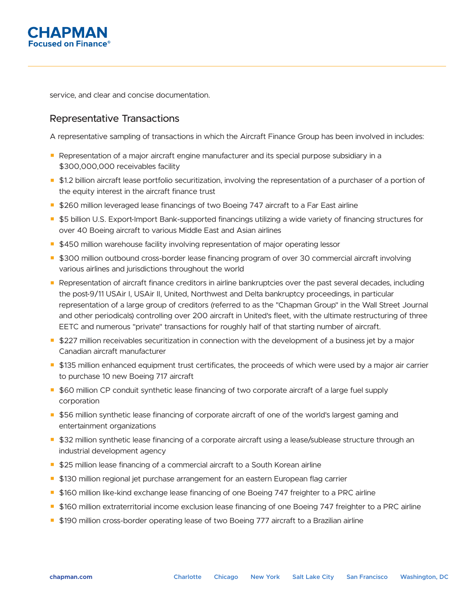

service, and clear and concise documentation.

#### Representative Transactions

A representative sampling of transactions in which the Aircraft Finance Group has been involved in includes:

- Representation of a major aircraft engine manufacturer and its special purpose subsidiary in a \$300,000,000 receivables facility
- \$1.2 billion aircraft lease portfolio securitization, involving the representation of a purchaser of a portion of the equity interest in the aircraft finance trust
- \$260 million leveraged lease financings of two Boeing 747 aircraft to a Far East airline
- \$5 billion U.S. Export-Import Bank-supported financings utilizing a wide variety of financing structures for over 40 Boeing aircraft to various Middle East and Asian airlines
- \$450 million warehouse facility involving representation of major operating lessor
- \$300 million outbound cross-border lease financing program of over 30 commercial aircraft involving various airlines and jurisdictions throughout the world
- Representation of aircraft finance creditors in airline bankruptcies over the past several decades, including the post-9/11 USAir I, USAir II, United, Northwest and Delta bankruptcy proceedings, in particular representation of a large group of creditors (referred to as the "Chapman Group" in the Wall Street Journal and other periodicals) controlling over 200 aircraft in United's fleet, with the ultimate restructuring of three EETC and numerous "private" transactions for roughly half of that starting number of aircraft.
- \$227 million receivables securitization in connection with the development of a business jet by a major Canadian aircraft manufacturer
- \$135 million enhanced equipment trust certificates, the proceeds of which were used by a major air carrier to purchase 10 new Boeing 717 aircraft
- \$60 million CP conduit synthetic lease financing of two corporate aircraft of a large fuel supply corporation
- \$56 million synthetic lease financing of corporate aircraft of one of the world's largest gaming and entertainment organizations
- \$32 million synthetic lease financing of a corporate aircraft using a lease/sublease structure through an industrial development agency
- \$25 million lease financing of a commercial aircraft to a South Korean airline
- \$130 million regional jet purchase arrangement for an eastern European flag carrier
- \$160 million like-kind exchange lease financing of one Boeing 747 freighter to a PRC airline
- \$160 million extraterritorial income exclusion lease financing of one Boeing 747 freighter to a PRC airline
- \$190 million cross-border operating lease of two Boeing 777 aircraft to a Brazilian airline